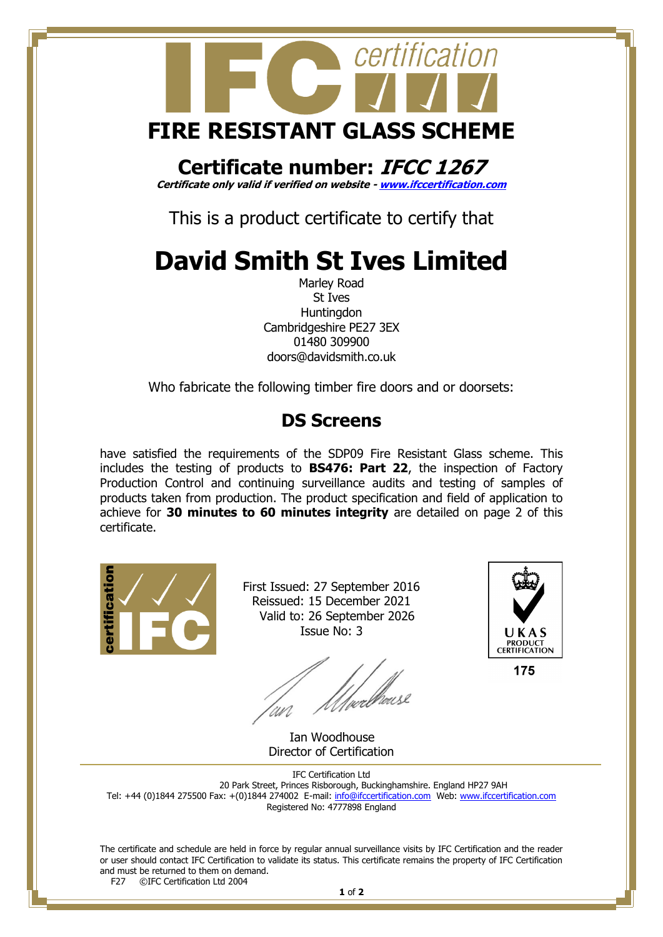

## **Certificate number: IFCC 1267**

**Certificate only valid if verified on website - [www.ifccertification.com](http://www.ifccertification.com/)**

This is a product certificate to certify that

# **David Smith St Ives Limited**

Marley Road St Ives **Huntingdon** Cambridgeshire PE27 3EX 01480 309900 doors@davidsmith.co.uk

Who fabricate the following timber fire doors and or doorsets:

### **DS Screens**

have satisfied the requirements of the SDP09 Fire Resistant Glass scheme. This includes the testing of products to **BS476: Part 22**, the inspection of Factory Production Control and continuing surveillance audits and testing of samples of products taken from production. The product specification and field of application to achieve for **30 minutes to 60 minutes integrity** are detailed on page 2 of this certificate.



First Issued: 27 September 2016 Reissued: 15 December 2021 Valid to: 26 September 2026 Issue No: 3

/wellhouse



175

 Ian Woodhouse Director of Certification

IFC Certification Ltd 20 Park Street, Princes Risborough, Buckinghamshire. England HP27 9AH Tel: +44 (0)1844 275500 Fax: +(0)1844 274002 E-mail[: info@ifccertification.com](mailto:info@ifccertification.com) Web: [www.ifccertification.com](http://www.ifccertification.com/) Registered No: 4777898 England

The certificate and schedule are held in force by regular annual surveillance visits by IFC Certification and the reader or user should contact IFC Certification to validate its status. This certificate remains the property of IFC Certification and must be returned to them on demand.<br>F27  $\odot$  TEC Certification Ltd 2004 ©IFC Certification Ltd 2004

**1** of **2**